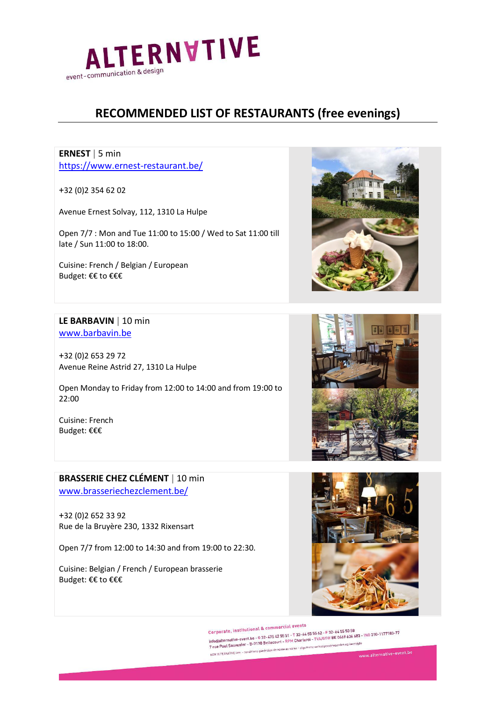

## **RECOMMENDED LIST OF RESTAURANTS (free evenings)**

## **ERNEST |** 5 min

<https://www.ernest-restaurant.be/>

+32 (0)2 354 62 02

Avenue Ernest Solvay, 112, 1310 La Hulpe

Open 7/7 : Mon and Tue 11:00 to 15:00 / Wed to Sat 11:00 till late / Sun 11:00 to 18:00.

Cuisine: French / Belgian / European Budget: €€ to €€€

**LE BARBAVIN |** 10 min [www.barbavin.be](http://www.barbavin.be/)

+32 (0)2 653 29 72 Avenue Reine Astrid 27, 1310 La Hulpe

Open Monday to Friday from 12:00 to 14:00 and from 19:00 to 22:00

Cuisine: French Budget: €€€

## **BRASSERIE CHEZ CLÉMENT |** 10 min [www.brasseriechezclement.be/](http://www.brasseriechezclement.be/)

+32 (0)2 652 33 92 Rue de la Bruyère 230, 1332 Rixensart

Open 7/7 from 12:00 to 14:30 and from 19:00 to 22:30.

Cuisine: Belgian / French / European brasserie Budget: €€ to €€€







Corporate, institutional & commercial events Corporate, institutional & commercial events<br>info@alternative-event.be - G 32-475 42 55 51 - T 32-64 55 55 62 - F 32-64 55 50 58<br>7 rue Paul Sauvenier - B-7170 Bellecourt - RPM Charleroi - TVA/BTW BE 0469 636 683 - ING 310-

Info@alternative-event.be - 70 Dellecourt - RPM Charleroi - IVA/BTW DE COMPARED 1<br>True Paul Sauvenier - B-7170 Bellecourt - RPM Charleroi - algemene verkoopsvoorwaarden op keerzijde<br>NEW ALTERNATHE SPIR - conditions gehéral www.alternative-event.be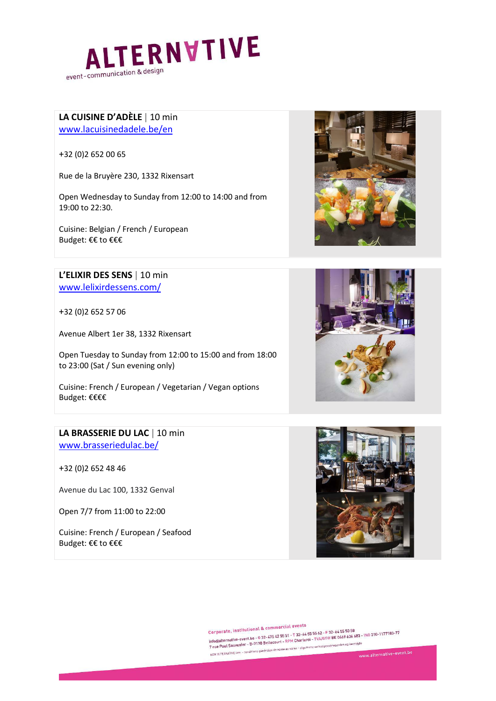

**LA CUISINE D'ADÈLE |** 10 min [www.lacuisinedadele.be/en](http://www.lacuisinedadele.be/en)

+32 (0)2 652 00 65

Rue de la Bruyère 230, 1332 Rixensart

Open Wednesday to Sunday from 12:00 to 14:00 and from 19:00 to 22:30.

Cuisine: Belgian / French / European Budget: €€ to €€€

**L'ELIXIR DES SENS |** 10 min [www.lelixirdessens.com/](https://www.lelixirdessens.com/) 

+32 (0)2 652 57 06

Avenue Albert 1er 38, 1332 Rixensart

Open Tuesday to Sunday from 12:00 to 15:00 and from 18:00 to 23:00 (Sat / Sun evening only)

Cuisine: French / European / Vegetarian / Vegan options Budget: €€€€

**LA BRASSERIE DU LAC |** 10 min [www.brasseriedulac.be/](http://www.brasseriedulac.be/) 

+32 (0)2 652 48 46

Avenue du Lac 100, 1332 Genval

Open 7/7 from 11:00 to 22:00

Cuisine: French / European / Seafood Budget: €€ to €€€







Corporate, institutional & commercial events Corporate, institutional & commercial events<br>info@alternative-event.be - G 32-475 42 55 51 - T 32-64 55 55 62 - F 32-64 55 56 83<br>7 rue Paul Sauvenier - B-7170 Bellecourt - RPM Charleroi - TVA/BTW BE 0469 636 683 - ING 310-Info@alternative-event.ue - 0 of Dellecourt - RPM Charleroi - IVA/BTYTOL OF THE Paul Sauvenier - B-7170 Bellecourt - RPM Charleroi - IVA/BTYTOL OF Recruited<br>The Paul Sauvenier - B-7170 Bellecourt - RPM Charles are versed a www.alternative-event.be